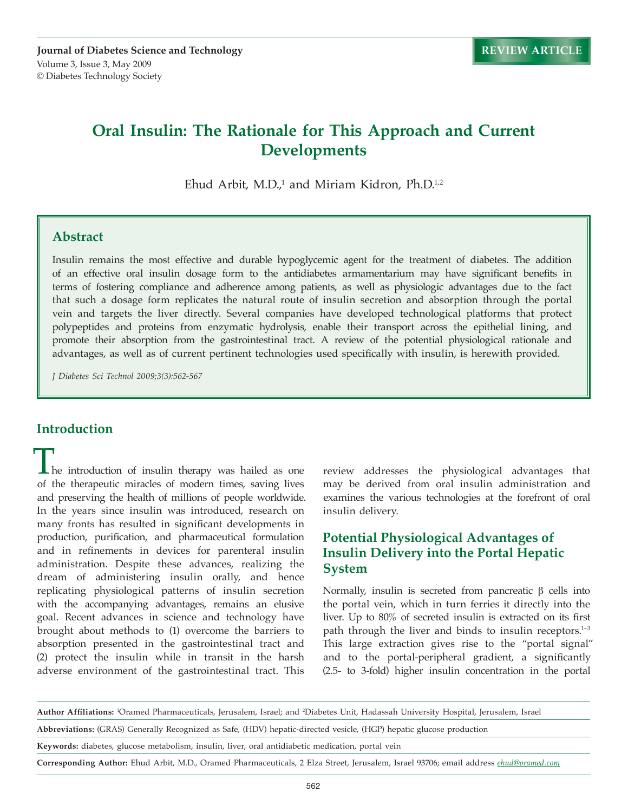# **Oral Insulin: The Rationale for This Approach and Current Developments**

Ehud Arbit, M.D.,<sup>1</sup> and Miriam Kidron, Ph.D.<sup>1,2</sup>

#### **Abstract**

Insulin remains the most effective and durable hypoglycemic agent for the treatment of diabetes. The addition of an effective oral insulin dosage form to the antidiabetes armamentarium may have significant benefits in terms of fostering compliance and adherence among patients, as well as physiologic advantages due to the fact that such a dosage form replicates the natural route of insulin secretion and absorption through the portal vein and targets the liver directly. Several companies have developed technological platforms that protect polypeptides and proteins from enzymatic hydrolysis, enable their transport across the epithelial lining, and promote their absorption from the gastrointestinal tract. A review of the potential physiological rationale and advantages, as well as of current pertinent technologies used specifically with insulin, is herewith provided.

*J Diabetes Sci Technol 2009;3(3):562-567*

#### **Introduction**

 $\blacksquare$  he introduction of insulin therapy was hailed as one of the therapeutic miracles of modern times, saving lives and preserving the health of millions of people worldwide. In the years since insulin was introduced, research on many fronts has resulted in significant developments in production, purification, and pharmaceutical formulation and in refinements in devices for parenteral insulin administration. Despite these advances, realizing the dream of administering insulin orally, and hence replicating physiological patterns of insulin secretion with the accompanying advantages, remains an elusive goal. Recent advances in science and technology have brought about methods to (1) overcome the barriers to absorption presented in the gastrointestinal tract and (2) protect the insulin while in transit in the harsh adverse environment of the gastrointestinal tract. This

review addresses the physiological advantages that may be derived from oral insulin administration and examines the various technologies at the forefront of oral insulin delivery.

### **Potential Physiological Advantages of Insulin Delivery into the Portal Hepatic System**

Normally, insulin is secreted from pancreatic  $β$  cells into the portal vein, which in turn ferries it directly into the liver. Up to 80% of secreted insulin is extracted on its first path through the liver and binds to insulin receptors.<sup>1-3</sup> This large extraction gives rise to the "portal signal" and to the portal-peripheral gradient, a significantly (2.5- to 3-fold) higher insulin concentration in the portal

**Author Affiliations:** <sup>1</sup>Oramed Pharmaceuticals, Jerusalem, Israel; and <sup>2</sup>Diabetes Unit, Hadassah University Hospital, Jerusalem, Israel

**Abbreviations:** (GRAS) Generally Recognized as Safe, (HDV) hepatic-directed vesicle, (HGP) hepatic glucose production

**Keywords:** diabetes, glucose metabolism, insulin, liver, oral antidiabetic medication, portal vein

**Corresponding Author:** Ehud Arbit, M.D., Oramed Pharmaceuticals, 2 Elza Street, Jerusalem, Israel 93706; email address *ehud@oramed.com*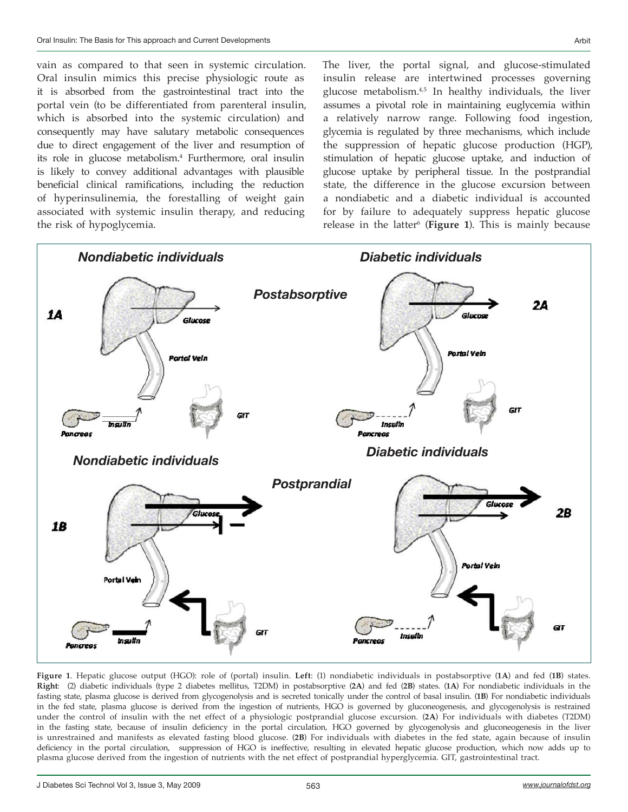vain as compared to that seen in systemic circulation. Oral insulin mimics this precise physiologic route as it is absorbed from the gastrointestinal tract into the portal vein (to be differentiated from parenteral insulin, which is absorbed into the systemic circulation) and consequently may have salutary metabolic consequences due to direct engagement of the liver and resumption of its role in glucose metabolism.<sup>4</sup> Furthermore, oral insulin is likely to convey additional advantages with plausible beneficial clinical ramifications, including the reduction of hyperinsulinemia, the forestalling of weight gain associated with systemic insulin therapy, and reducing the risk of hypoglycemia.

The liver, the portal signal, and glucose-stimulated insulin release are intertwined processes governing glucose metabolism.<sup>4,5</sup> In healthy individuals, the liver assumes a pivotal role in maintaining euglycemia within a relatively narrow range. Following food ingestion, glycemia is regulated by three mechanisms, which include the suppression of hepatic glucose production (HGP), stimulation of hepatic glucose uptake, and induction of glucose uptake by peripheral tissue. In the postprandial state, the difference in the glucose excursion between a nondiabetic and a diabetic individual is accounted for by failure to adequately suppress hepatic glucose release in the latter<sup>6</sup> (**Figure 1**). This is mainly because



**Figure 1**. Hepatic glucose output (HGO): role of (portal) insulin. **Left**: (1) nondiabetic individuals in postabsorptive (**1A**) and fed (**1B**) states. **Right**: (2) diabetic individuals (type 2 diabetes mellitus, T2DM) in postabsorptive (**2A**) and fed (**2B**) states. (**1A**) For nondiabetic individuals in the fasting state, plasma glucose is derived from glycogenolysis and is secreted tonically under the control of basal insulin. (**1B**) For nondiabetic individuals in the fed state, plasma glucose is derived from the ingestion of nutrients, HGO is governed by gluconeogenesis, and glycogenolysis is restrained under the control of insulin with the net effect of a physiologic postprandial glucose excursion. (**2A**) For individuals with diabetes (T2DM) in the fasting state, because of insulin deficiency in the portal circulation, HGO governed by glycogenolysis and gluconeogenesis in the liver is unrestrained and manifests as elevated fasting blood glucose. (**2B**) For individuals with diabetes in the fed state, again because of insulin deficiency in the portal circulation, suppression of HGO is ineffective, resulting in elevated hepatic glucose production, which now adds up to plasma glucose derived from the ingestion of nutrients with the net effect of postprandial hyperglycemia. GIT, gastrointestinal tract.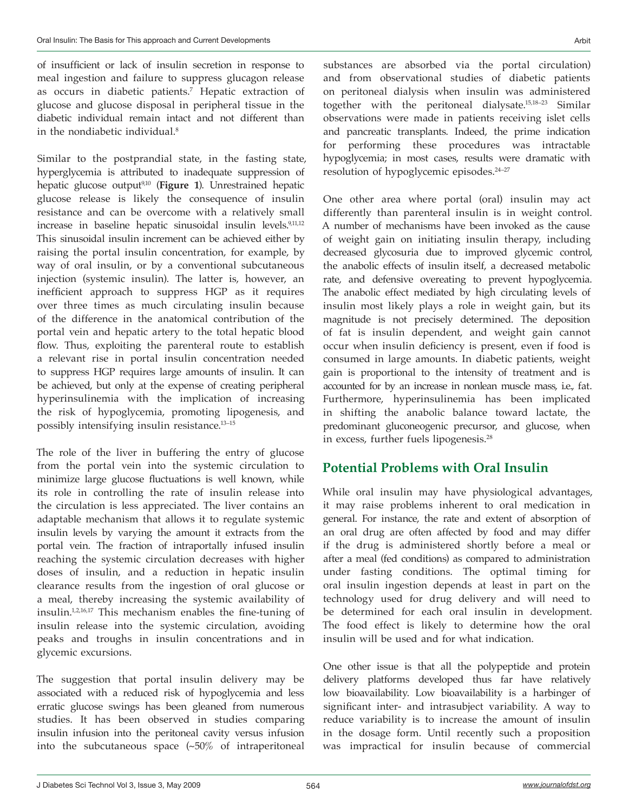of insufficient or lack of insulin secretion in response to meal ingestion and failure to suppress glucagon release as occurs in diabetic patients.<sup>7</sup> Hepatic extraction of glucose and glucose disposal in peripheral tissue in the diabetic individual remain intact and not different than in the nondiabetic individual.<sup>8</sup>

Similar to the postprandial state, in the fasting state, hyperglycemia is attributed to inadequate suppression of hepatic glucose output9,10 (**Figure 1**). Unrestrained hepatic glucose release is likely the consequence of insulin resistance and can be overcome with a relatively small increase in baseline hepatic sinusoidal insulin levels.<sup>9,11,12</sup> This sinusoidal insulin increment can be achieved either by raising the portal insulin concentration, for example, by way of oral insulin, or by a conventional subcutaneous injection (systemic insulin). The latter is, however, an inefficient approach to suppress HGP as it requires over three times as much circulating insulin because of the difference in the anatomical contribution of the portal vein and hepatic artery to the total hepatic blood flow. Thus, exploiting the parenteral route to establish a relevant rise in portal insulin concentration needed to suppress HGP requires large amounts of insulin. It can be achieved, but only at the expense of creating peripheral hyperinsulinemia with the implication of increasing the risk of hypoglycemia, promoting lipogenesis, and possibly intensifying insulin resistance.13–15

The role of the liver in buffering the entry of glucose from the portal vein into the systemic circulation to minimize large glucose fluctuations is well known, while its role in controlling the rate of insulin release into the circulation is less appreciated. The liver contains an adaptable mechanism that allows it to regulate systemic insulin levels by varying the amount it extracts from the portal vein. The fraction of intraportally infused insulin reaching the systemic circulation decreases with higher doses of insulin, and a reduction in hepatic insulin clearance results from the ingestion of oral glucose or a meal, thereby increasing the systemic availability of insulin.1,2,16,17 This mechanism enables the fine-tuning of insulin release into the systemic circulation, avoiding peaks and troughs in insulin concentrations and in glycemic excursions.

The suggestion that portal insulin delivery may be associated with a reduced risk of hypoglycemia and less erratic glucose swings has been gleaned from numerous studies. It has been observed in studies comparing insulin infusion into the peritoneal cavity versus infusion into the subcutaneous space (~50% of intraperitoneal substances are absorbed via the portal circulation) and from observational studies of diabetic patients on peritoneal dialysis when insulin was administered together with the peritoneal dialysate.15,18–23 Similar observations were made in patients receiving islet cells and pancreatic transplants. Indeed, the prime indication for performing these procedures was intractable hypoglycemia; in most cases, results were dramatic with resolution of hypoglycemic episodes.<sup>24-27</sup>

One other area where portal (oral) insulin may act differently than parenteral insulin is in weight control. A number of mechanisms have been invoked as the cause of weight gain on initiating insulin therapy, including decreased glycosuria due to improved glycemic control, the anabolic effects of insulin itself, a decreased metabolic rate, and defensive overeating to prevent hypoglycemia. The anabolic effect mediated by high circulating levels of insulin most likely plays a role in weight gain, but its magnitude is not precisely determined. The deposition of fat is insulin dependent, and weight gain cannot occur when insulin deficiency is present, even if food is consumed in large amounts. In diabetic patients, weight gain is proportional to the intensity of treatment and is accounted for by an increase in nonlean muscle mass, i.e., fat. Furthermore, hyperinsulinemia has been implicated in shifting the anabolic balance toward lactate, the predominant gluconeogenic precursor, and glucose, when in excess, further fuels lipogenesis.<sup>28</sup>

## **Potential Problems with Oral Insulin**

While oral insulin may have physiological advantages, it may raise problems inherent to oral medication in general. For instance, the rate and extent of absorption of an oral drug are often affected by food and may differ if the drug is administered shortly before a meal or after a meal (fed conditions) as compared to administration under fasting conditions. The optimal timing for oral insulin ingestion depends at least in part on the technology used for drug delivery and will need to be determined for each oral insulin in development. The food effect is likely to determine how the oral insulin will be used and for what indication.

One other issue is that all the polypeptide and protein delivery platforms developed thus far have relatively low bioavailability. Low bioavailability is a harbinger of significant inter- and intrasubject variability. A way to reduce variability is to increase the amount of insulin in the dosage form. Until recently such a proposition was impractical for insulin because of commercial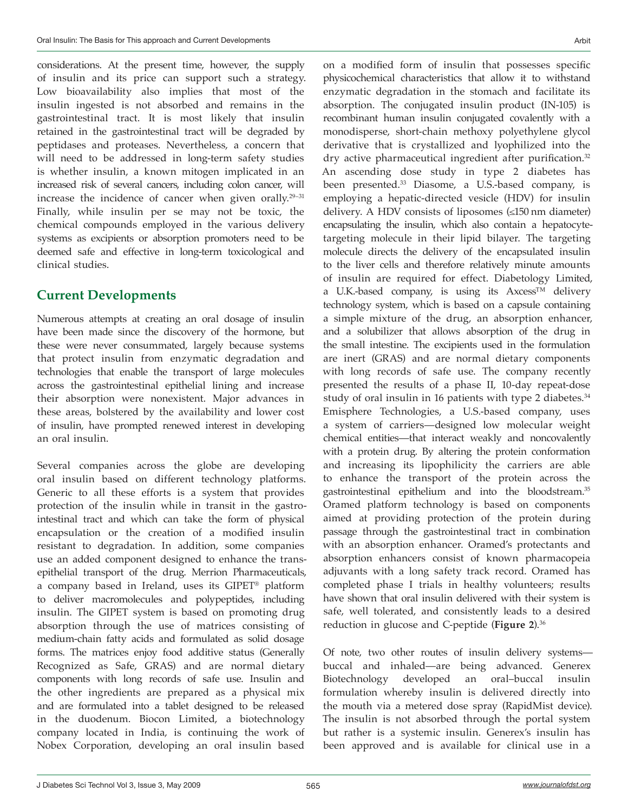considerations. At the present time, however, the supply of insulin and its price can support such a strategy. Low bioavailability also implies that most of the insulin ingested is not absorbed and remains in the gastrointestinal tract. It is most likely that insulin retained in the gastrointestinal tract will be degraded by peptidases and proteases. Nevertheless, a concern that will need to be addressed in long-term safety studies is whether insulin, a known mitogen implicated in an increased risk of several cancers, including colon cancer, will increase the incidence of cancer when given orally.<sup>29-31</sup> Finally, while insulin per se may not be toxic, the chemical compounds employed in the various delivery systems as excipients or absorption promoters need to be deemed safe and effective in long-term toxicological and clinical studies.

### **Current Developments**

Numerous attempts at creating an oral dosage of insulin have been made since the discovery of the hormone, but these were never consummated, largely because systems that protect insulin from enzymatic degradation and technologies that enable the transport of large molecules across the gastrointestinal epithelial lining and increase their absorption were nonexistent. Major advances in these areas, bolstered by the availability and lower cost of insulin, have prompted renewed interest in developing an oral insulin.

Several companies across the globe are developing oral insulin based on different technology platforms. Generic to all these efforts is a system that provides protection of the insulin while in transit in the gastrointestinal tract and which can take the form of physical encapsulation or the creation of a modified insulin resistant to degradation. In addition, some companies use an added component designed to enhance the transepithelial transport of the drug. Merrion Pharmaceuticals, a company based in Ireland, uses its GIPET® platform to deliver macromolecules and polypeptides, including insulin. The GIPET system is based on promoting drug absorption through the use of matrices consisting of medium-chain fatty acids and formulated as solid dosage forms. The matrices enjoy food additive status (Generally Recognized as Safe, GRAS) and are normal dietary components with long records of safe use. Insulin and the other ingredients are prepared as a physical mix and are formulated into a tablet designed to be released in the duodenum. Biocon Limited, a biotechnology company located in India, is continuing the work of Nobex Corporation, developing an oral insulin based

on a modified form of insulin that possesses specific physicochemical characteristics that allow it to withstand enzymatic degradation in the stomach and facilitate its absorption. The conjugated insulin product (IN-105) is recombinant human insulin conjugated covalently with a monodisperse, short-chain methoxy polyethylene glycol derivative that is crystallized and lyophilized into the dry active pharmaceutical ingredient after purification.<sup>32</sup> An ascending dose study in type 2 diabetes has been presented.<sup>33</sup> Diasome, a U.S.-based company, is employing a hepatic-directed vesicle (HDV) for insulin delivery. A HDV consists of liposomes (≤150 nm diameter) encapsulating the insulin, which also contain a hepatocytetargeting molecule in their lipid bilayer. The targeting molecule directs the delivery of the encapsulated insulin to the liver cells and therefore relatively minute amounts of insulin are required for effect. Diabetology Limited, a U.K.-based company, is using its Axcess™ delivery technology system, which is based on a capsule containing a simple mixture of the drug, an absorption enhancer, and a solubilizer that allows absorption of the drug in the small intestine. The excipients used in the formulation are inert (GRAS) and are normal dietary components with long records of safe use. The company recently presented the results of a phase II, 10-day repeat-dose study of oral insulin in 16 patients with type 2 diabetes.<sup>34</sup> Emisphere Technologies, a U.S.-based company, uses a system of carriers—designed low molecular weight chemical entities—that interact weakly and noncovalently with a protein drug. By altering the protein conformation and increasing its lipophilicity the carriers are able to enhance the transport of the protein across the gastrointestinal epithelium and into the bloodstream.<sup>35</sup> Oramed platform technology is based on components aimed at providing protection of the protein during passage through the gastrointestinal tract in combination with an absorption enhancer. Oramed's protectants and absorption enhancers consist of known pharmacopeia adjuvants with a long safety track record. Oramed has completed phase I trials in healthy volunteers; results have shown that oral insulin delivered with their system is safe, well tolerated, and consistently leads to a desired reduction in glucose and C-peptide (**Figure 2**).<sup>36</sup>

Of note, two other routes of insulin delivery systems buccal and inhaled—are being advanced. Generex Biotechnology developed an oral–buccal insulin formulation whereby insulin is delivered directly into the mouth via a metered dose spray (RapidMist device). The insulin is not absorbed through the portal system but rather is a systemic insulin. Generex's insulin has been approved and is available for clinical use in a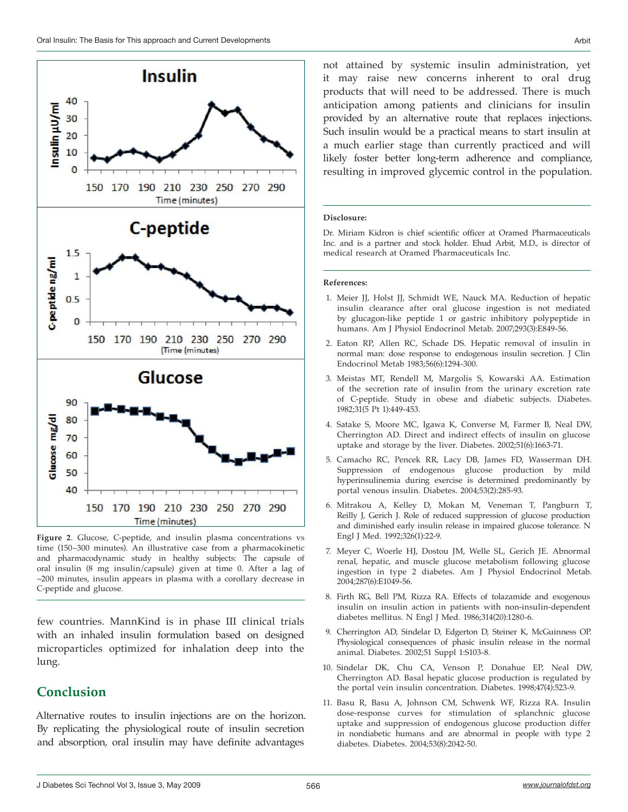

**Figure 2**. Glucose, C-peptide, and insulin plasma concentrations vs time (150–300 minutes). An illustrative case from a pharmacokinetic and pharmacodynamic study in healthy subjects: The capsule of oral insulin (8 mg insulin/capsule) given at time 0. After a lag of ~200 minutes, insulin appears in plasma with a corollary decrease in C-peptide and glucose.

few countries. MannKind is in phase III clinical trials with an inhaled insulin formulation based on designed microparticles optimized for inhalation deep into the lung.

## **Conclusion**

Alternative routes to insulin injections are on the horizon. By replicating the physiological route of insulin secretion and absorption, oral insulin may have definite advantages

not attained by systemic insulin administration, yet it may raise new concerns inherent to oral drug products that will need to be addressed. There is much anticipation among patients and clinicians for insulin provided by an alternative route that replaces injections. Such insulin would be a practical means to start insulin at a much earlier stage than currently practiced and will likely foster better long-term adherence and compliance, resulting in improved glycemic control in the population.

#### **Disclosure:**

Dr. Miriam Kidron is chief scientific officer at Oramed Pharmaceuticals Inc. and is a partner and stock holder. Ehud Arbit, M.D., is director of medical research at Oramed Pharmaceuticals Inc.

#### **References:**

- 1. Meier JJ, Holst JJ, Schmidt WE, Nauck MA. Reduction of hepatic insulin clearance after oral glucose ingestion is not mediated by glucagon-like peptide 1 or gastric inhibitory polypeptide in humans. Am J Physiol Endocrinol Metab. 2007;293(3):E849-56.
- 2. Eaton RP, Allen RC, Schade DS. Hepatic removal of insulin in normal man: dose response to endogenous insulin secretion. J Clin Endocrinol Metab 1983;56(6):1294-300.
- 3. Meistas MT, Rendell M, Margolis S, Kowarski AA. Estimation of the secretion rate of insulin from the urinary excretion rate of C-peptide. Study in obese and diabetic subjects. Diabetes. 1982;31(5 Pt 1):449-453.
- 4. Satake S, Moore MC, Igawa K, Converse M, Farmer B, Neal DW, Cherrington AD. Direct and indirect effects of insulin on glucose uptake and storage by the liver. Diabetes. 2002;51(6):1663-71.
- 5. Camacho RC, Pencek RR, Lacy DB, James FD, Wasserman DH. Suppression of endogenous glucose production by mild hyperinsulinemia during exercise is determined predominantly by portal venous insulin. Diabetes. 2004;53(2):285-93.
- 6. Mitrakou A, Kelley D, Mokan M, Veneman T, Pangburn T, Reilly J, Gerich J. Role of reduced suppression of glucose production and diminished early insulin release in impaired glucose tolerance. N Engl J Med. 1992;326(1):22-9.
- 7. Meyer C, Woerle HJ, Dostou JM, Welle SL, Gerich JE. Abnormal renal, hepatic, and muscle glucose metabolism following glucose ingestion in type 2 diabetes. Am J Physiol Endocrinol Metab. 2004;287(6):E1049-56.
- 8. Firth RG, Bell PM, Rizza RA. Effects of tolazamide and exogenous insulin on insulin action in patients with non-insulin-dependent diabetes mellitus. N Engl J Med. 1986;314(20):1280-6.
- 9. Cherrington AD, Sindelar D, Edgerton D, Steiner K, McGuinness OP. Physiological consequences of phasic insulin release in the normal animal. Diabetes. 2002;51 Suppl 1:S103-8.
- 10. Sindelar DK, Chu CA, Venson P, Donahue EP, Neal DW, Cherrington AD. Basal hepatic glucose production is regulated by the portal vein insulin concentration. Diabetes. 1998;47(4):523-9.
- 11. Basu R, Basu A, Johnson CM, Schwenk WF, Rizza RA. Insulin dose-response curves for stimulation of splanchnic glucose uptake and suppression of endogenous glucose production differ in nondiabetic humans and are abnormal in people with type 2 diabetes. Diabetes. 2004;53(8):2042-50.